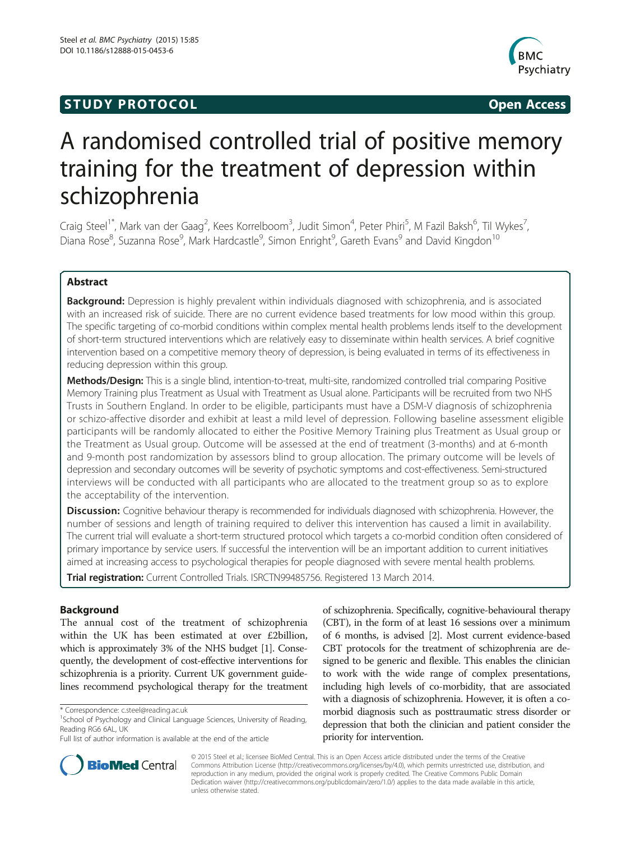## **STUDY PROTOCOL CONSUMING THE STUDY PROTOCOL**



# A randomised controlled trial of positive memory training for the treatment of depression within schizophrenia

Craig Steel<sup>1\*</sup>, Mark van der Gaag<sup>2</sup>, Kees Korrelboom<sup>3</sup>, Judit Simon<sup>4</sup>, Peter Phiri<sup>5</sup>, M Fazil Baksh<sup>6</sup>, Til Wykes<sup>7</sup> , Diana Rose<sup>8</sup>, Suzanna Rose<sup>9</sup>, Mark Hardcastle<sup>9</sup>, Simon Enright<sup>9</sup>, Gareth Evans<sup>9</sup> and David Kingdon<sup>10</sup>

## Abstract

Background: Depression is highly prevalent within individuals diagnosed with schizophrenia, and is associated with an increased risk of suicide. There are no current evidence based treatments for low mood within this group. The specific targeting of co-morbid conditions within complex mental health problems lends itself to the development of short-term structured interventions which are relatively easy to disseminate within health services. A brief cognitive intervention based on a competitive memory theory of depression, is being evaluated in terms of its effectiveness in reducing depression within this group.

Methods/Design: This is a single blind, intention-to-treat, multi-site, randomized controlled trial comparing Positive Memory Training plus Treatment as Usual with Treatment as Usual alone. Participants will be recruited from two NHS Trusts in Southern England. In order to be eligible, participants must have a DSM-V diagnosis of schizophrenia or schizo-affective disorder and exhibit at least a mild level of depression. Following baseline assessment eligible participants will be randomly allocated to either the Positive Memory Training plus Treatment as Usual group or the Treatment as Usual group. Outcome will be assessed at the end of treatment (3-months) and at 6-month and 9-month post randomization by assessors blind to group allocation. The primary outcome will be levels of depression and secondary outcomes will be severity of psychotic symptoms and cost-effectiveness. Semi-structured interviews will be conducted with all participants who are allocated to the treatment group so as to explore the acceptability of the intervention.

Discussion: Cognitive behaviour therapy is recommended for individuals diagnosed with schizophrenia. However, the number of sessions and length of training required to deliver this intervention has caused a limit in availability. The current trial will evaluate a short-term structured protocol which targets a co-morbid condition often considered of primary importance by service users. If successful the intervention will be an important addition to current initiatives aimed at increasing access to psychological therapies for people diagnosed with severe mental health problems.

Trial registration: Current Controlled Trials. [ISRCTN99485756](http://www.isrctn.com/ISRCTN99485756). Registered 13 March 2014.

## Background

The annual cost of the treatment of schizophrenia within the UK has been estimated at over £2billion, which is approximately 3% of the NHS budget [[1](#page-4-0)]. Consequently, the development of cost-effective interventions for schizophrenia is a priority. Current UK government guidelines recommend psychological therapy for the treatment

of schizophrenia. Specifically, cognitive-behavioural therapy (CBT), in the form of at least 16 sessions over a minimum of 6 months, is advised [[2](#page-4-0)]. Most current evidence-based CBT protocols for the treatment of schizophrenia are designed to be generic and flexible. This enables the clinician to work with the wide range of complex presentations, including high levels of co-morbidity, that are associated with a diagnosis of schizophrenia. However, it is often a comorbid diagnosis such as posttraumatic stress disorder or depression that both the clinician and patient consider the priority for intervention.



© 2015 Steel et al.; licensee BioMed Central. This is an Open Access article distributed under the terms of the Creative Commons Attribution License [\(http://creativecommons.org/licenses/by/4.0\)](http://creativecommons.org/licenses/by/4.0), which permits unrestricted use, distribution, and reproduction in any medium, provided the original work is properly credited. The Creative Commons Public Domain Dedication waiver [\(http://creativecommons.org/publicdomain/zero/1.0/](http://creativecommons.org/publicdomain/zero/1.0/)) applies to the data made available in this article, unless otherwise stated.

<sup>\*</sup> Correspondence: [c.steel@reading.ac.uk](mailto:c.steel@reading.ac.uk) <sup>1</sup>

<sup>&</sup>lt;sup>1</sup>School of Psychology and Clinical Language Sciences, University of Reading, Reading RG6 6AL, UK

Full list of author information is available at the end of the article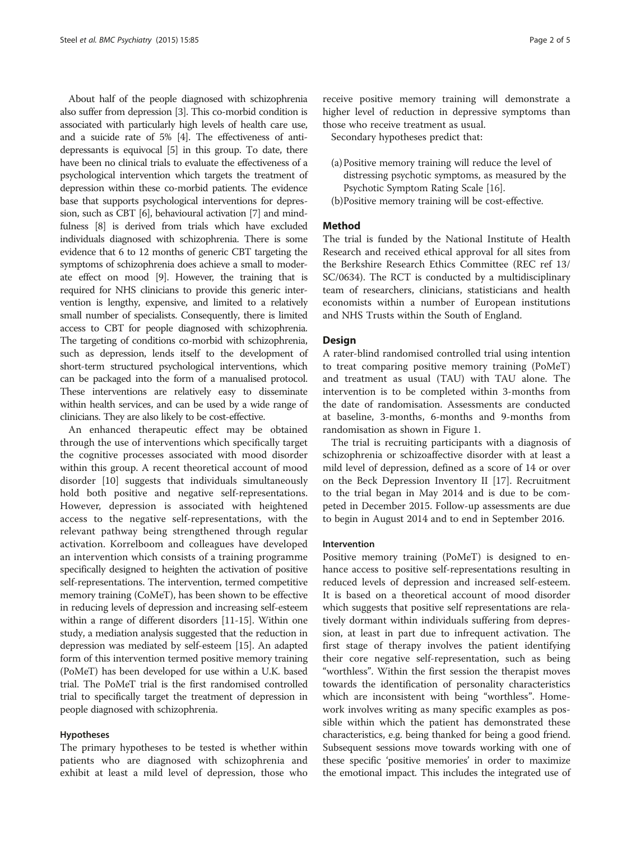About half of the people diagnosed with schizophrenia also suffer from depression [\[3\]](#page-4-0). This co-morbid condition is associated with particularly high levels of health care use, and a suicide rate of 5% [\[4\]](#page-4-0). The effectiveness of antidepressants is equivocal [\[5](#page-4-0)] in this group. To date, there have been no clinical trials to evaluate the effectiveness of a psychological intervention which targets the treatment of depression within these co-morbid patients. The evidence base that supports psychological interventions for depression, such as CBT [\[6\]](#page-4-0), behavioural activation [\[7](#page-4-0)] and mindfulness [\[8](#page-4-0)] is derived from trials which have excluded individuals diagnosed with schizophrenia. There is some evidence that 6 to 12 months of generic CBT targeting the symptoms of schizophrenia does achieve a small to moderate effect on mood [[9](#page-4-0)]. However, the training that is required for NHS clinicians to provide this generic intervention is lengthy, expensive, and limited to a relatively small number of specialists. Consequently, there is limited access to CBT for people diagnosed with schizophrenia. The targeting of conditions co-morbid with schizophrenia, such as depression, lends itself to the development of short-term structured psychological interventions, which can be packaged into the form of a manualised protocol. These interventions are relatively easy to disseminate within health services, and can be used by a wide range of clinicians. They are also likely to be cost-effective.

An enhanced therapeutic effect may be obtained through the use of interventions which specifically target the cognitive processes associated with mood disorder within this group. A recent theoretical account of mood disorder [\[10](#page-4-0)] suggests that individuals simultaneously hold both positive and negative self-representations. However, depression is associated with heightened access to the negative self-representations, with the relevant pathway being strengthened through regular activation. Korrelboom and colleagues have developed an intervention which consists of a training programme specifically designed to heighten the activation of positive self-representations. The intervention, termed competitive memory training (CoMeT), has been shown to be effective in reducing levels of depression and increasing self-esteem within a range of different disorders [\[11-15\]](#page-4-0). Within one study, a mediation analysis suggested that the reduction in depression was mediated by self-esteem [\[15\]](#page-4-0). An adapted form of this intervention termed positive memory training (PoMeT) has been developed for use within a U.K. based trial. The PoMeT trial is the first randomised controlled trial to specifically target the treatment of depression in people diagnosed with schizophrenia.

## Hypotheses

The primary hypotheses to be tested is whether within patients who are diagnosed with schizophrenia and exhibit at least a mild level of depression, those who receive positive memory training will demonstrate a higher level of reduction in depressive symptoms than those who receive treatment as usual.

Secondary hypotheses predict that:

- (a)Positive memory training will reduce the level of distressing psychotic symptoms, as measured by the Psychotic Symptom Rating Scale [\[16\]](#page-4-0).
- (b)Positive memory training will be cost-effective.

#### Method

The trial is funded by the National Institute of Health Research and received ethical approval for all sites from the Berkshire Research Ethics Committee (REC ref 13/ SC/0634). The RCT is conducted by a multidisciplinary team of researchers, clinicians, statisticians and health economists within a number of European institutions and NHS Trusts within the South of England.

#### Design

A rater-blind randomised controlled trial using intention to treat comparing positive memory training (PoMeT) and treatment as usual (TAU) with TAU alone. The intervention is to be completed within 3-months from the date of randomisation. Assessments are conducted at baseline, 3-months, 6-months and 9-months from randomisation as shown in Figure [1.](#page-2-0)

The trial is recruiting participants with a diagnosis of schizophrenia or schizoaffective disorder with at least a mild level of depression, defined as a score of 14 or over on the Beck Depression Inventory II [\[17](#page-4-0)]. Recruitment to the trial began in May 2014 and is due to be competed in December 2015. Follow-up assessments are due to begin in August 2014 and to end in September 2016.

#### Intervention

Positive memory training (PoMeT) is designed to enhance access to positive self-representations resulting in reduced levels of depression and increased self-esteem. It is based on a theoretical account of mood disorder which suggests that positive self representations are relatively dormant within individuals suffering from depression, at least in part due to infrequent activation. The first stage of therapy involves the patient identifying their core negative self-representation, such as being "worthless". Within the first session the therapist moves towards the identification of personality characteristics which are inconsistent with being "worthless". Homework involves writing as many specific examples as possible within which the patient has demonstrated these characteristics, e.g. being thanked for being a good friend. Subsequent sessions move towards working with one of these specific 'positive memories' in order to maximize the emotional impact. This includes the integrated use of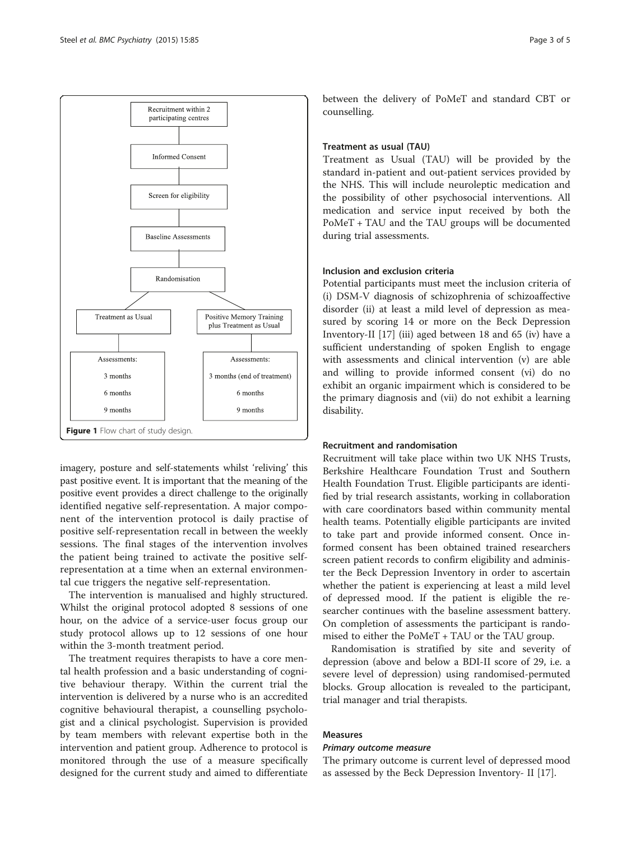<span id="page-2-0"></span>

imagery, posture and self-statements whilst 'reliving' this past positive event. It is important that the meaning of the positive event provides a direct challenge to the originally identified negative self-representation. A major component of the intervention protocol is daily practise of positive self-representation recall in between the weekly sessions. The final stages of the intervention involves the patient being trained to activate the positive selfrepresentation at a time when an external environmental cue triggers the negative self-representation.

The intervention is manualised and highly structured. Whilst the original protocol adopted 8 sessions of one hour, on the advice of a service-user focus group our study protocol allows up to 12 sessions of one hour within the 3-month treatment period.

The treatment requires therapists to have a core mental health profession and a basic understanding of cognitive behaviour therapy. Within the current trial the intervention is delivered by a nurse who is an accredited cognitive behavioural therapist, a counselling psychologist and a clinical psychologist. Supervision is provided by team members with relevant expertise both in the intervention and patient group. Adherence to protocol is monitored through the use of a measure specifically designed for the current study and aimed to differentiate between the delivery of PoMeT and standard CBT or counselling.

#### Treatment as usual (TAU)

Treatment as Usual (TAU) will be provided by the standard in-patient and out-patient services provided by the NHS. This will include neuroleptic medication and the possibility of other psychosocial interventions. All medication and service input received by both the PoMeT + TAU and the TAU groups will be documented during trial assessments.

## Inclusion and exclusion criteria

Potential participants must meet the inclusion criteria of (i) DSM-V diagnosis of schizophrenia of schizoaffective disorder (ii) at least a mild level of depression as measured by scoring 14 or more on the Beck Depression Inventory-II [\[17](#page-4-0)] (iii) aged between 18 and 65 (iv) have a sufficient understanding of spoken English to engage with assessments and clinical intervention (v) are able and willing to provide informed consent (vi) do no exhibit an organic impairment which is considered to be the primary diagnosis and (vii) do not exhibit a learning disability.

## Recruitment and randomisation

Recruitment will take place within two UK NHS Trusts, Berkshire Healthcare Foundation Trust and Southern Health Foundation Trust. Eligible participants are identified by trial research assistants, working in collaboration with care coordinators based within community mental health teams. Potentially eligible participants are invited to take part and provide informed consent. Once informed consent has been obtained trained researchers screen patient records to confirm eligibility and administer the Beck Depression Inventory in order to ascertain whether the patient is experiencing at least a mild level of depressed mood. If the patient is eligible the researcher continues with the baseline assessment battery. On completion of assessments the participant is randomised to either the PoMeT + TAU or the TAU group.

Randomisation is stratified by site and severity of depression (above and below a BDI-II score of 29, i.e. a severe level of depression) using randomised-permuted blocks. Group allocation is revealed to the participant, trial manager and trial therapists.

#### Measures

#### Primary outcome measure

The primary outcome is current level of depressed mood as assessed by the Beck Depression Inventory- II [\[17](#page-4-0)].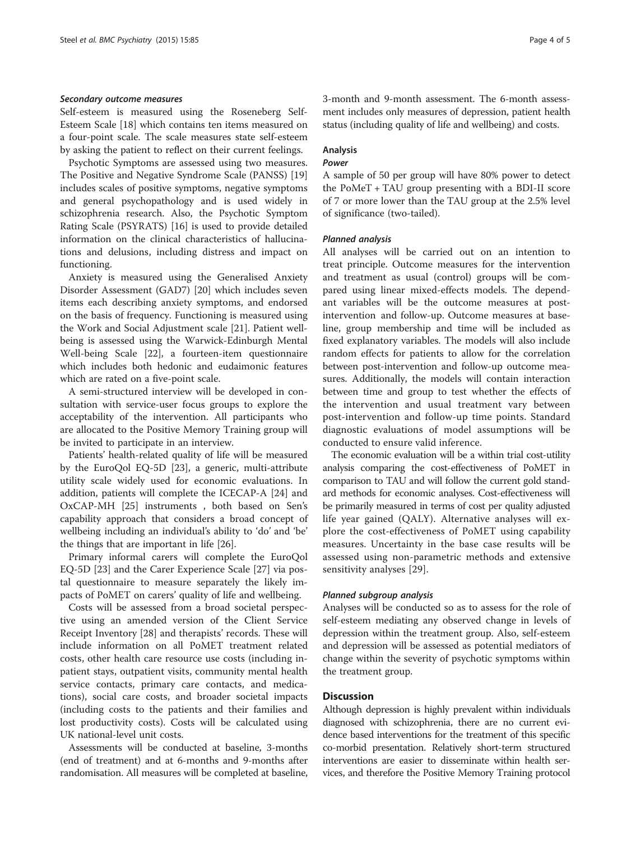#### Secondary outcome measures

Self-esteem is measured using the Roseneberg Self-Esteem Scale [\[18\]](#page-4-0) which contains ten items measured on a four-point scale. The scale measures state self-esteem by asking the patient to reflect on their current feelings.

Psychotic Symptoms are assessed using two measures. The Positive and Negative Syndrome Scale (PANSS) [[19](#page-4-0)] includes scales of positive symptoms, negative symptoms and general psychopathology and is used widely in schizophrenia research. Also, the Psychotic Symptom Rating Scale (PSYRATS) [[16](#page-4-0)] is used to provide detailed information on the clinical characteristics of hallucinations and delusions, including distress and impact on functioning.

Anxiety is measured using the Generalised Anxiety Disorder Assessment (GAD7) [\[20](#page-4-0)] which includes seven items each describing anxiety symptoms, and endorsed on the basis of frequency. Functioning is measured using the Work and Social Adjustment scale [[21\]](#page-4-0). Patient wellbeing is assessed using the Warwick-Edinburgh Mental Well-being Scale [\[22](#page-4-0)], a fourteen-item questionnaire which includes both hedonic and eudaimonic features which are rated on a five-point scale.

A semi-structured interview will be developed in consultation with service-user focus groups to explore the acceptability of the intervention. All participants who are allocated to the Positive Memory Training group will be invited to participate in an interview.

Patients' health-related quality of life will be measured by the EuroQol EQ-5D [[23\]](#page-4-0), a generic, multi-attribute utility scale widely used for economic evaluations. In addition, patients will complete the ICECAP-A [[24\]](#page-4-0) and OxCAP-MH [[25\]](#page-4-0) instruments , both based on Sen's capability approach that considers a broad concept of wellbeing including an individual's ability to 'do' and 'be' the things that are important in life [\[26\]](#page-4-0).

Primary informal carers will complete the EuroQol EQ-5D [[23\]](#page-4-0) and the Carer Experience Scale [\[27](#page-4-0)] via postal questionnaire to measure separately the likely impacts of PoMET on carers' quality of life and wellbeing.

Costs will be assessed from a broad societal perspective using an amended version of the Client Service Receipt Inventory [\[28](#page-4-0)] and therapists' records. These will include information on all PoMET treatment related costs, other health care resource use costs (including inpatient stays, outpatient visits, community mental health service contacts, primary care contacts, and medications), social care costs, and broader societal impacts (including costs to the patients and their families and lost productivity costs). Costs will be calculated using UK national-level unit costs.

Assessments will be conducted at baseline, 3-months (end of treatment) and at 6-months and 9-months after randomisation. All measures will be completed at baseline, 3-month and 9-month assessment. The 6-month assessment includes only measures of depression, patient health status (including quality of life and wellbeing) and costs.

## Analysis

## Power

A sample of 50 per group will have 80% power to detect the PoMeT + TAU group presenting with a BDI-II score of 7 or more lower than the TAU group at the 2.5% level of significance (two-tailed).

### Planned analysis

All analyses will be carried out on an intention to treat principle. Outcome measures for the intervention and treatment as usual (control) groups will be compared using linear mixed-effects models. The dependant variables will be the outcome measures at postintervention and follow-up. Outcome measures at baseline, group membership and time will be included as fixed explanatory variables. The models will also include random effects for patients to allow for the correlation between post-intervention and follow-up outcome measures. Additionally, the models will contain interaction between time and group to test whether the effects of the intervention and usual treatment vary between post-intervention and follow-up time points. Standard diagnostic evaluations of model assumptions will be conducted to ensure valid inference.

The economic evaluation will be a within trial cost-utility analysis comparing the cost-effectiveness of PoMET in comparison to TAU and will follow the current gold standard methods for economic analyses. Cost-effectiveness will be primarily measured in terms of cost per quality adjusted life year gained (QALY). Alternative analyses will explore the cost-effectiveness of PoMET using capability measures. Uncertainty in the base case results will be assessed using non-parametric methods and extensive sensitivity analyses [\[29](#page-4-0)].

#### Planned subgroup analysis

Analyses will be conducted so as to assess for the role of self-esteem mediating any observed change in levels of depression within the treatment group. Also, self-esteem and depression will be assessed as potential mediators of change within the severity of psychotic symptoms within the treatment group.

## **Discussion**

Although depression is highly prevalent within individuals diagnosed with schizophrenia, there are no current evidence based interventions for the treatment of this specific co-morbid presentation. Relatively short-term structured interventions are easier to disseminate within health services, and therefore the Positive Memory Training protocol